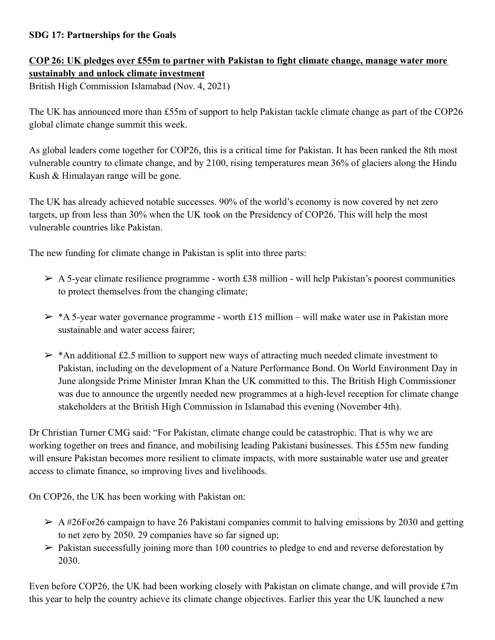## **SDG 17: Partnerships for the Goals**

## **COP 26: UK pledges over £55m to partner with Pakistan to fight climate change, manage water more sustainably and unlock climate investment**

British High Commission Islamabad (Nov. 4, 2021)

The UK has announced more than £55m of support to help Pakistan tackle climate change as part of the COP26 global climate change summit this week.

As global leaders come together for COP26, this is a critical time for Pakistan. It has been ranked the 8th most vulnerable country to climate change, and by 2100, rising temperatures mean 36% of glaciers along the Hindu Kush & Himalayan range will be gone.

The UK has already achieved notable successes. 90% of the world's economy is now covered by net zero targets, up from less than 30% when the UK took on the Presidency of COP26. This will help the most vulnerable countries like Pakistan.

The new funding for climate change in Pakistan is split into three parts:

- $\triangleright$  A 5-year climate resilience programme worth £38 million will help Pakistan's poorest communities to protect themselves from the changing climate;
- $\geq$  \*A 5-year water governance programme worth £15 million will make water use in Pakistan more sustainable and water access fairer;
- $\geq$  \*An additional £2.5 million to support new ways of attracting much needed climate investment to Pakistan, including on the development of a Nature Performance Bond. On World Environment Day in June alongside Prime Minister Imran Khan the UK committed to this. The British High Commissioner was due to announce the urgently needed new programmes at a high-level reception for climate change stakeholders at the British High Commission in Islamabad this evening (November 4th).

Dr Christian Turner CMG said: "For Pakistan, climate change could be catastrophic. That is why we are working together on trees and finance, and mobilising leading Pakistani businesses. This £55m new funding will ensure Pakistan becomes more resilient to climate impacts, with more sustainable water use and greater access to climate finance, so improving lives and livelihoods.

On COP26, the UK has been working with Pakistan on:

- $\geq$  A #26For26 campaign to have 26 Pakistani companies commit to halving emissions by 2030 and getting to net zero by 2050. 29 companies have so far signed up;
- $\triangleright$  Pakistan successfully joining more than 100 countries to pledge to end and reverse deforestation by 2030.

Even before COP26, the UK had been working closely with Pakistan on climate change, and will provide £7m this year to help the country achieve its climate change objectives. Earlier this year the UK launched a new